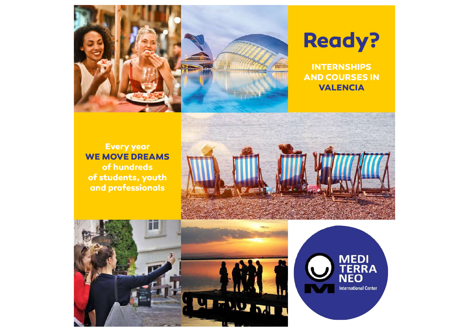



**INTERNSHIPS AND COURSES IN VALENCIA**

**Every year WE MOVE DREAMS of hundreds of students, youth and professionals**





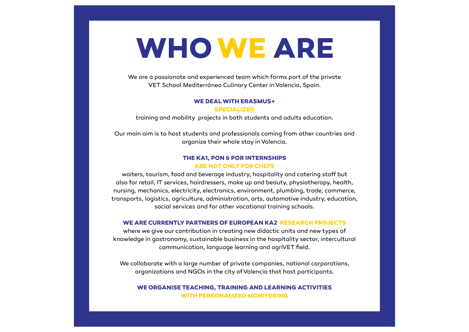# **WHO WE ARE**

We are a passionate and experienced team which forms part of the private VET School Mediterráneo Culinary Center in Valencia, Spain.

#### **WE DEAL WITH ERASMUS+ SPECIALIZED**

training and mobility projects in both students and adults education.

Our main aim is to host students and professionals coming from other countries and organize their whole stay in Valencia.

### **THE KA1, PON & POR INTERNSHIPS ARE NOT ONLY FOR CHEFS**

waiters, tourism, food and beverage industry, hospitality and catering staff but also for retail, IT services, hairdressers, make up and beauty, physiotherapy, health, nursing, mechanics, electricity, electronics, environment, plumbing, trade, commerce, transports, logistics, agriculture, administration, arts, automotive industry, education, social services and for other vocational training schools.

#### **WE ARE CURRENTLY PARTNERS OF EUROPEAN KA2 RESEARCH PROJECTS**

where we give our contribution in creating new didactic units and new types of knowledge in gastronomy, sustainable business in the hospitality sector, intercultural communication, language learning and agriVET feld.

We collaborate with a large number of private companies, national corporations, organizations and NGOs in the city of Valencia that host participants.

#### **WE ORGANISE TEACHING, TRAINING AND LEARNING ACTIVITIES WITH PERSONALIZED MONITORING**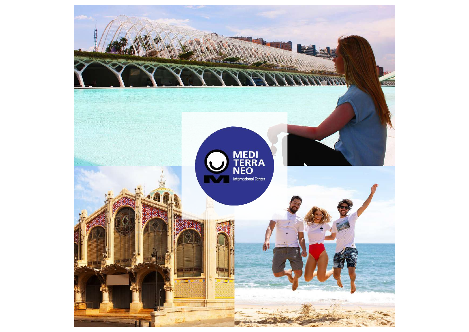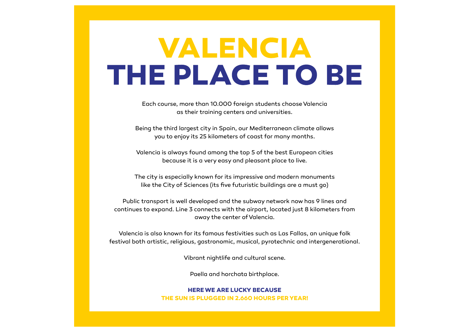# **VALENCIA** THE PLACE TO BE

Each course, more than 10.000 foreign students choose Valencia as their training centers and universities.

Being the third largest city in Spain, our Mediterranean climate allows you to enjoy its 25 kilometers of coast for many months.

Valencia is always found among the top 5 of the best European cities because it is a very easy and pleasant place to live.

The city is especially known for its impressive and modern monuments like the City of Sciences (its fve futuristic buildings are a must go)

Public transport is well developed and the subway network now has 9 lines and continues to expand. Line 3 connects with the airport, located just 8 kilometers from away the center of Valencia.

Valencia is also known for its famous festivities such as Las Fallas, an unique folk festival both artistic, religious, gastronomic, musical, pyrotechnic and intergenerational.

Vibrant nightlife and cultural scene.

Paella and horchata birthplace.

### **HERE WE ARE LUCKY BECAUSE THE SUN IS PLUGGED IN 2.660 HOURS PER YEAR!**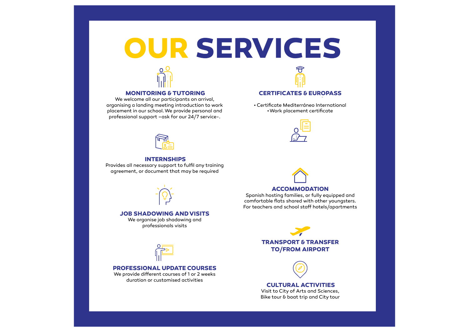# **OUR SERVICES**



#### **MONITORING & TUTORING**

We welcome all our participants on arrival, organising a landing meeting introduction to work placement in our school. We provide personal and professional support –ask for our 24/7 service-.

#### **INTERNSHIPS**

Provides all necessary support to fulfl any training agreement, or document that may be required



#### **JOB SHADOWING AND VISITS**

We organise job shadowing and professionals visits



#### **PROFESSIONAL UPDATE COURSES**

We provide different courses of 1 or 2 weeks duration or customised activities

#### **CERTIFICATES & EUROPASS**  $\mathcal{L}_{\mathcal{A}}$

• Certifcate Mediterráneo International • Work placement certifcate



#### **ACCOMMODATION**

Spanish hosting families, or fully equipped and comfortable fats shared with other youngsters. For teachers and school staff hotels/apartments

### **TRANSPORT & TRANSFER TO/FROM AIRPORT**



#### **CULTURAL ACTIVITIES**  Visit to City of Arts and Sciences, Bike tour & boat trip and City tour